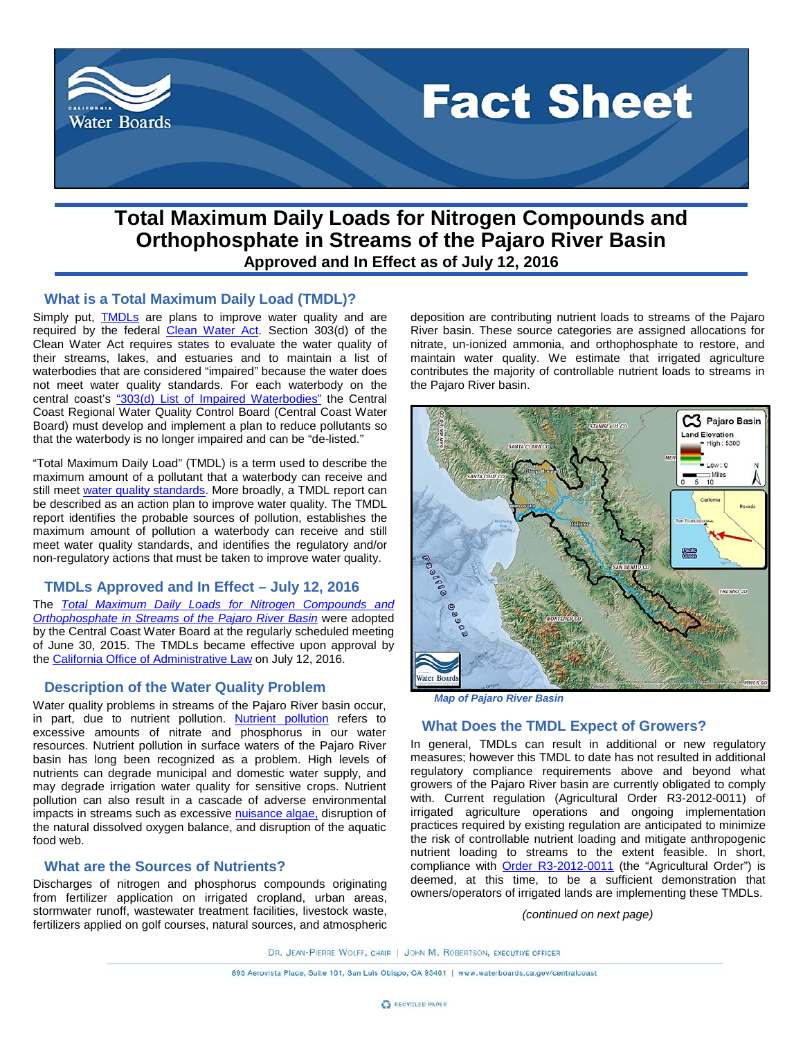

# **Total Maximum Daily Loads for Nitrogen Compounds and Orthophosphate in Streams of the Pajaro River Basin Approved and In Effect as of July 12, 2016**

## **What is a Total Maximum Daily Load (TMDL)?**

Simply put, **[TMDLs](http://www.waterboards.ca.gov/water_issues/programs/tmdl/docs/tmdl_factsheet.pdf)** are plans to improve water quality and are required by the federal [Clean Water Act.](https://www.epa.gov/laws-regulations/summary-clean-water-act) Section 303(d) of the Clean Water Act requires states to evaluate the water quality of their streams, lakes, and estuaries and to maintain a list of waterbodies that are considered "impaired" because the water does not meet water quality standards. For each waterbody on the central coast's ["303\(d\) List of Impaired Waterbodies"](http://www.waterboards.ca.gov/water_issues/programs/tmdl/integrated2010.shtml) the Central Coast Regional Water Quality Control Board (Central Coast Water Board) must develop and implement a plan to reduce pollutants so that the waterbody is no longer impaired and can be "de-listed."

"Total Maximum Daily Load" (TMDL) is a term used to describe the maximum amount of a pollutant that a waterbody can receive and still meet [water quality standards.](https://www.epa.gov/standards-water-body-health/what-are-water-quality-standards) More broadly, a TMDL report can be described as an action plan to improve water quality. The TMDL report identifies the probable sources of pollution, establishes the maximum amount of pollution a waterbody can receive and still meet water quality standards, and identifies the regulatory and/or non-regulatory actions that must be taken to improve water quality.

#### **TMDLs Approved and In Effect – July 12, 2016**

The *[Total Maximum Daily Loads for Nitrogen Compounds and](http://www.waterboards.ca.gov/centralcoast/water_issues/programs/tmdl/docs/pajaro/nutrients/index.shtml)  [Orthophosphate in Streams of the Pajaro River Basin](http://www.waterboards.ca.gov/centralcoast/water_issues/programs/tmdl/docs/pajaro/nutrients/index.shtml)* were adopted by the Central Coast Water Board at the regularly scheduled meeting of June 30, 2015. The TMDLs became effective upon approval by the [California Office of Administrative Law](http://www.oal.ca.gov/) on July 12, 2016.

# **Description of the Water Quality Problem**

Water quality problems in streams of the Pajaro River basin occur, in part, due to [nutrient pollution.](https://www.epa.gov/nutrientpollution/problem) [Nutrient pollution](https://www.epa.gov/nutrientpollution/problem) refers to excessive amounts of nitrate and phosphorus in our water resources. Nutrient pollution in surface waters of the Pajaro River basin has long been recognized as a problem. High levels of nutrients can degrade municipal and domestic water supply, and may degrade irrigation water quality for sensitive crops. Nutrient pollution can also result in a cascade of adverse environmental impacts in streams such as excessive [nuisance algae,](http://oceanservice.noaa.gov/education/kits/estuaries/media/supp_estuar09b_eutro.html) disruption of the natural dissolved oxygen balance, and disruption of the aquatic food web.

## **What are the Sources of Nutrients?**

Discharges of nitrogen and phosphorus compounds originating from fertilizer application on irrigated cropland, urban areas, stormwater runoff, wastewater treatment facilities, livestock waste, fertilizers applied on golf courses, natural sources, and atmospheric deposition are contributing nutrient loads to streams of the Pajaro River basin. These source categories are assigned allocations for nitrate, un-ionized ammonia, and orthophosphate to restore, and maintain water quality. We estimate that irrigated agriculture contributes the majority of controllable nutrient loads to streams in the Pajaro River basin.



*Map of Pajaro River Basin*

#### **What Does the TMDL Expect of Growers?**

In general, TMDLs can result in additional or new regulatory measures; however this TMDL to date has not resulted in additional regulatory compliance requirements above and beyond what growers of the Pajaro River basin are currently obligated to comply with. Current regulation (Agricultural Order R3-2012-0011) of irrigated agriculture operations and ongoing implementation practices required by existing regulation are anticipated to minimize the risk of controllable nutrient loading and mitigate anthropogenic nutrient loading to streams to the extent feasible. In short, compliance with [Order R3-2012-0011](http://www.waterboards.ca.gov/centralcoast/water_issues/programs/ag_waivers/index.shtml) (the "Agricultural Order") is deemed, at this time, to be a sufficient demonstration that owners/operators of irrigated lands are implementing these TMDLs.

*(continued on next page)*

DR. JEAN-PIERRE WOLFF, CHAIR | JOHN M. ROBERTSON, EXECUTIVE OFFICER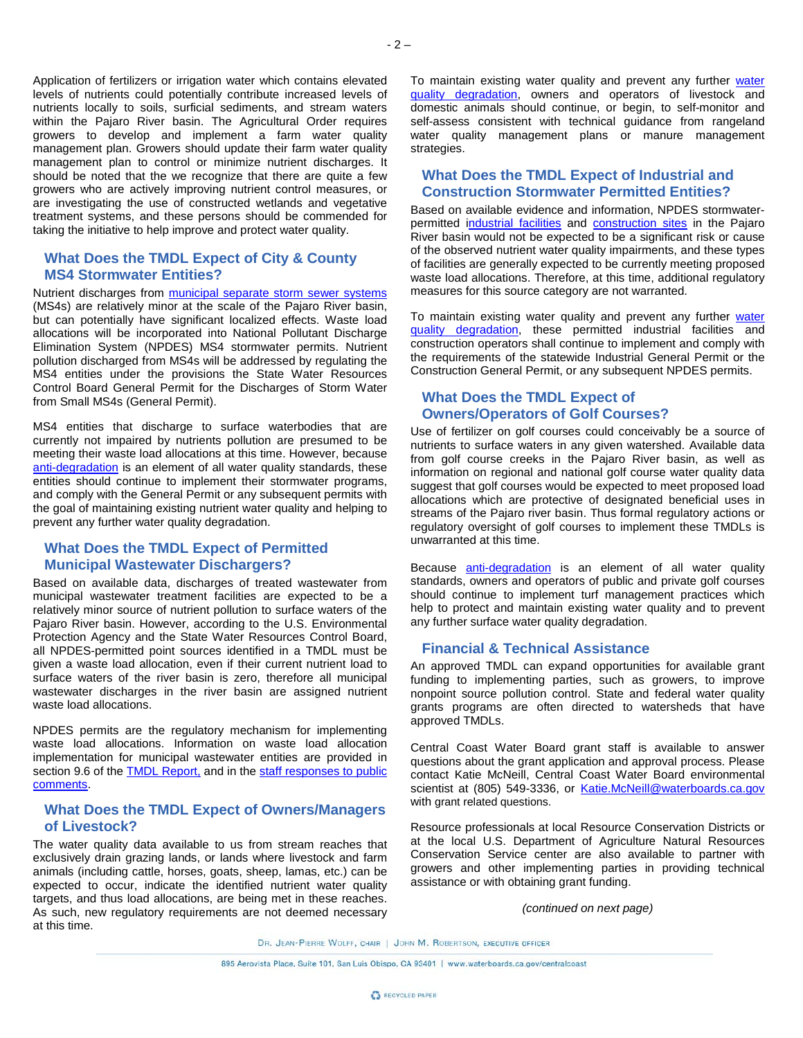Application of fertilizers or irrigation water which contains elevated levels of nutrients could potentially contribute increased levels of nutrients locally to soils, surficial sediments, and stream waters within the Pajaro River basin. The Agricultural Order requires growers to develop and implement a farm water quality management plan. Growers should update their farm water quality management plan to control or minimize nutrient discharges. It should be noted that the we recognize that there are quite a few growers who are actively improving nutrient control measures, or are investigating the use of constructed wetlands and vegetative treatment systems, and these persons should be commended for taking the initiative to help improve and protect water quality.

# **What Does the TMDL Expect of City & County MS4 Stormwater Entities?**

Nutrient discharges from **municipal separate storm sewer systems** (MS4s) are relatively minor at the scale of the Pajaro River basin, but can potentially have significant localized effects. Waste load allocations will be incorporated into National Pollutant Discharge Elimination System (NPDES) MS4 stormwater permits. Nutrient pollution discharged from MS4s will be addressed by regulating the MS4 entities under the provisions the State Water Resources Control Board General Permit for the Discharges of Storm Water from Small MS4s (General Permit).

MS4 entities that discharge to surface waterbodies that are currently not impaired by nutrients pollution are presumed to be meeting their waste load allocations at this time. However, because [anti-degradation](http://www.waterboards.ca.gov/centralcoast/water_issues/programs/tmdl/docs/pajaro/nutrients/antideg_techincal_brief_final.pdf) is an element of all water quality standards, these entities should continue to implement their stormwater programs, and comply with the General Permit or any subsequent permits with the goal of maintaining existing nutrient water quality and helping to prevent any further water quality degradation.

#### **What Does the TMDL Expect of Permitted Municipal Wastewater Dischargers?**

Based on available data, discharges of treated wastewater from municipal wastewater treatment facilities are expected to be a relatively minor source of nutrient pollution to surface waters of the Pajaro River basin. However, according to the U.S. Environmental Protection Agency and the State Water Resources Control Board, all NPDES-permitted point sources identified in a TMDL must be given a waste load allocation, even if their current nutrient load to surface waters of the river basin is zero, therefore all municipal wastewater discharges in the river basin are assigned nutrient waste load allocations.

NPDES permits are the regulatory mechanism for implementing waste load allocations. Information on waste load allocation implementation for municipal wastewater entities are provided in section 9.6 of the **TMDL Report**, and in the staff responses to public [comments.](http://www.waterboards.ca.gov/centralcoast/water_issues/programs/tmdl/docs/pajaro/nutrients/rtc_approved.pdf)

# **What Does the TMDL Expect of Owners/Managers of Livestock?**

The water quality data available to us from stream reaches that exclusively drain grazing lands, or lands where livestock and farm animals (including cattle, horses, goats, sheep, lamas, etc.) can be expected to occur, indicate the identified nutrient water quality targets, and thus load allocations, are being met in these reaches. As such, new regulatory requirements are not deemed necessary at this time.

To maintain existing [water](http://www.waterboards.ca.gov/centralcoast/water_issues/programs/tmdl/docs/pajaro/nutrients/antideg_techincal_brief_final.pdf) quality and prevent any further water [quality degradation,](http://www.waterboards.ca.gov/centralcoast/water_issues/programs/tmdl/docs/pajaro/nutrients/antideg_techincal_brief_final.pdf) owners and operators of livestock and domestic animals should continue, or begin, to self-monitor and self-assess consistent with technical guidance from rangeland water quality management plans or manure management strategies.

#### **What Does the TMDL Expect of Industrial and Construction Stormwater Permitted Entities?**

Based on available evidence and information, NPDES stormwaterpermitted [industrial facilities](http://www.waterboards.ca.gov/centralcoast/water_issues/programs/stormwater/industrial.shtml) and [construction sites](http://www.waterboards.ca.gov/centralcoast/water_issues/programs/stormwater/construction_new.shtml) in the Pajaro River basin would not be expected to be a significant risk or cause of the observed nutrient water quality impairments, and these types of facilities are generally expected to be currently meeting proposed waste load allocations. Therefore, at this time, additional regulatory measures for this source category are not warranted.

To maintain existing [water](http://www.waterboards.ca.gov/centralcoast/water_issues/programs/tmdl/docs/pajaro/nutrients/antideg_techincal_brief_final.pdf) quality and prevent any further water [quality degradation,](http://www.waterboards.ca.gov/centralcoast/water_issues/programs/tmdl/docs/pajaro/nutrients/antideg_techincal_brief_final.pdf) these permitted industrial facilities and construction operators shall continue to implement and comply with the requirements of the statewide Industrial General Permit or the Construction General Permit, or any subsequent NPDES permits.

## **What Does the TMDL Expect of Owners/Operators of Golf Courses?**

Use of fertilizer on golf courses could conceivably be a source of nutrients to surface waters in any given watershed. Available data from golf course creeks in the Pajaro River basin, as well as information on regional and national golf course water quality data suggest that golf courses would be expected to meet proposed load allocations which are protective of designated beneficial uses in streams of the Pajaro river basin. Thus formal regulatory actions or regulatory oversight of golf courses to implement these TMDLs is unwarranted at this time.

Because [anti-degradation](http://www.waterboards.ca.gov/centralcoast/water_issues/programs/tmdl/docs/pajaro/nutrients/antideg_techincal_brief_final.pdf) is an element of all water quality standards, owners and operators of public and private golf courses should continue to implement turf management practices which help to protect and maintain existing water quality and to prevent any further surface water quality degradation.

#### **Financial & Technical Assistance**

An approved TMDL can expand opportunities for available grant funding to implementing parties, such as growers, to improve nonpoint source pollution control. State and federal water quality grants programs are often directed to watersheds that have approved TMDLs.

Central Coast Water Board grant staff is available to answer questions about the grant application and approval process. Please contact Katie McNeill, Central Coast Water Board environmental scientist at (805) 549-3336, or [Katie.McNeill@waterboards.ca.gov](mailto:Katie.McNeill@waterboards.ca.gov) with grant related questions.

Resource professionals at local Resource Conservation Districts or at the local U.S. Department of Agriculture Natural Resources Conservation Service center are also available to partner with growers and other implementing parties in providing technical assistance or with obtaining grant funding.

*(continued on next page)*

DR. JEAN-PIERRE WOLFF, CHAIR | JOHN M. ROBERTSON, EXECUTIVE OFFICER